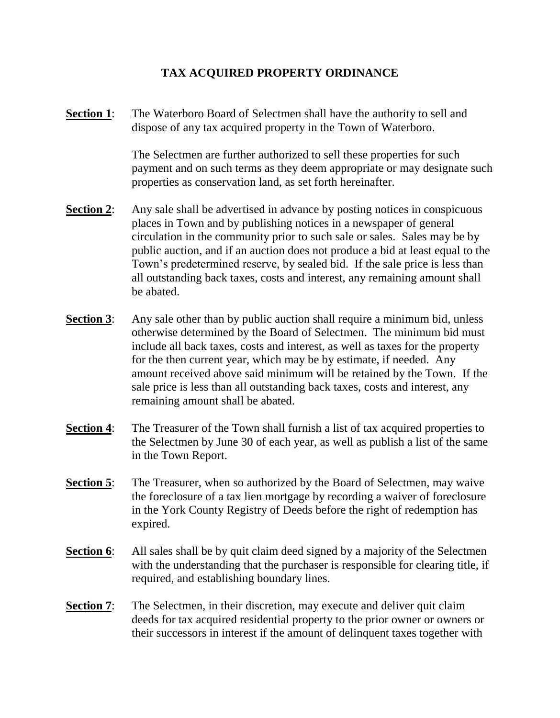## **TAX ACQUIRED PROPERTY ORDINANCE**

**Section 1**: The Waterboro Board of Selectmen shall have the authority to sell and dispose of any tax acquired property in the Town of Waterboro.

> The Selectmen are further authorized to sell these properties for such payment and on such terms as they deem appropriate or may designate such properties as conservation land, as set forth hereinafter.

- **Section 2:** Any sale shall be advertised in advance by posting notices in conspicuous places in Town and by publishing notices in a newspaper of general circulation in the community prior to such sale or sales. Sales may be by public auction, and if an auction does not produce a bid at least equal to the Town's predetermined reserve, by sealed bid. If the sale price is less than all outstanding back taxes, costs and interest, any remaining amount shall be abated.
- **Section 3:** Any sale other than by public auction shall require a minimum bid, unless otherwise determined by the Board of Selectmen. The minimum bid must include all back taxes, costs and interest, as well as taxes for the property for the then current year, which may be by estimate, if needed. Any amount received above said minimum will be retained by the Town. If the sale price is less than all outstanding back taxes, costs and interest, any remaining amount shall be abated.
- **Section 4:** The Treasurer of the Town shall furnish a list of tax acquired properties to the Selectmen by June 30 of each year, as well as publish a list of the same in the Town Report.
- **Section 5**: The Treasurer, when so authorized by the Board of Selectmen, may waive the foreclosure of a tax lien mortgage by recording a waiver of foreclosure in the York County Registry of Deeds before the right of redemption has expired.
- **Section 6**: All sales shall be by quit claim deed signed by a majority of the Selectmen with the understanding that the purchaser is responsible for clearing title, if required, and establishing boundary lines.
- **Section 7:** The Selectmen, in their discretion, may execute and deliver quit claim deeds for tax acquired residential property to the prior owner or owners or their successors in interest if the amount of delinquent taxes together with